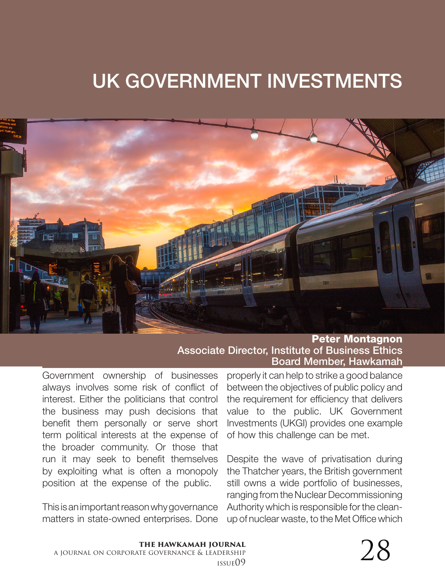## UK GOVERNMENT INVESTMENTS



Peter Montagnon Associate Director, Institute of Business Ethics Board Member, Hawkamah

Government ownership of businesses always involves some risk of conflict of interest. Either the politicians that control the business may push decisions that benefit them personally or serve short term political interests at the expense of the broader community. Or those that run it may seek to benefit themselves by exploiting what is often a monopoly position at the expense of the public.

This is an important reason why governance matters in state-owned enterprises. Done

properly it can help to strike a good balance between the objectives of public policy and the requirement for efficiency that delivers value to the public. UK Government Investments (UKGI) provides one example of how this challenge can be met.

Despite the wave of privatisation during the Thatcher years, the British government still owns a wide portfolio of businesses, ranging from the Nuclear Decommissioning Authority which is responsible for the cleanup of nuclear waste, to the Met Office which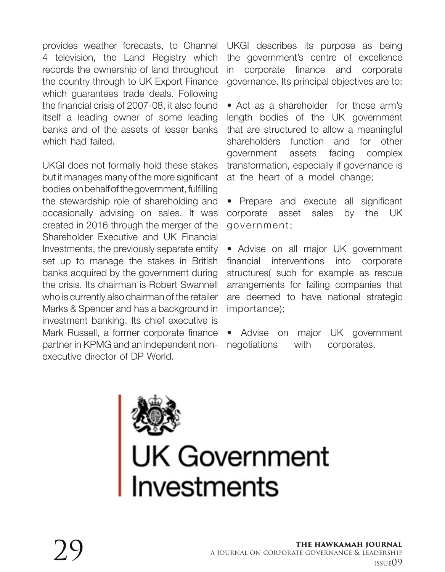provides weather forecasts, to Channel 4 television, the Land Registry which records the ownership of land throughout the country through to UK Export Finance which guarantees trade deals. Following the financial crisis of 2007-08, it also found itself a leading owner of some leading banks and of the assets of lesser banks which had failed.

UKGI does not formally hold these stakes but it manages many of the more significant bodies on behalf of the government, fulfilling the stewardship role of shareholding and occasionally advising on sales. It was created in 2016 through the merger of the Shareholder Executive and UK Financial Investments, the previously separate entity set up to manage the stakes in British banks acquired by the government during the crisis. Its chairman is Robert Swannell who is currently also chairman of the retailer Marks & Spencer and has a background in investment banking. Its chief executive is Mark Russell, a former corporate finance partner in KPMG and an independent nonexecutive director of DP World.

UKGI describes its purpose as being the government's centre of excellence in corporate finance and corporate governance. Its principal objectives are to:

• Act as a shareholder for those arm's length bodies of the UK government that are structured to allow a meaningful shareholders function and for other government assets facing complex transformation, especially if governance is at the heart of a model change;

• Prepare and execute all significant corporate asset sales by the UK government;

• Advise on all major UK government financial interventions into corporate structures( such for example as rescue arrangements for failing companies that are deemed to have national strategic importance);

• Advise on major UK government negotiations with corporates.



## **UK Government**<br>Investments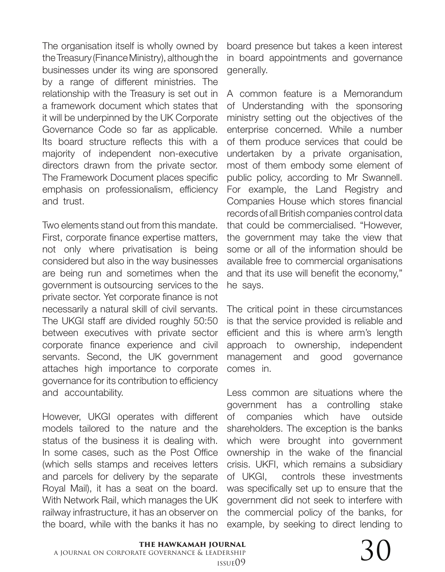The organisation itself is wholly owned by the Treasury (Finance Ministry), although the businesses under its wing are sponsored by a range of different ministries. The relationship with the Treasury is set out in a framework document which states that it will be underpinned by the UK Corporate Governance Code so far as applicable. Its board structure reflects this with a majority of independent non-executive directors drawn from the private sector. The Framework Document places specific emphasis on professionalism, efficiency and trust.

Two elements stand out from this mandate. First, corporate finance expertise matters, not only where privatisation is being considered but also in the way businesses are being run and sometimes when the government is outsourcing services to the private sector. Yet corporate finance is not necessarily a natural skill of civil servants. The UKGI staff are divided roughly 50:50 between executives with private sector corporate finance experience and civil servants. Second, the UK government attaches high importance to corporate governance for its contribution to efficiency and accountability.

However, UKGI operates with different models tailored to the nature and the status of the business it is dealing with. In some cases, such as the Post Office (which sells stamps and receives letters and parcels for delivery by the separate Royal Mail), it has a seat on the board. With Network Rail, which manages the UK railway infrastructure, it has an observer on the board, while with the banks it has no

board presence but takes a keen interest in board appointments and governance generally.

A common feature is a Memorandum of Understanding with the sponsoring ministry setting out the objectives of the enterprise concerned. While a number of them produce services that could be undertaken by a private organisation, most of them embody some element of public policy, according to Mr Swannell. For example, the Land Registry and Companies House which stores financial records of all British companies control data that could be commercialised. "However, the government may take the view that some or all of the information should be available free to commercial organisations and that its use will benefit the economy," he says.

The critical point in these circumstances is that the service provided is reliable and efficient and this is where arm's length approach to ownership, independent management and good governance comes in.

Less common are situations where the government has a controlling stake of companies which have outside shareholders. The exception is the banks which were brought into government ownership in the wake of the financial crisis. UKFI, which remains a subsidiary of UKGI, controls these investments was specifically set up to ensure that the government did not seek to interfere with the commercial policy of the banks, for example, by seeking to direct lending to

 $\sum_{\text{DERSHIP}}$   $\sum_{\text{ISSUE}(09)}$ 

## **the hawkamah journal** a journal on corporate governance & leadership